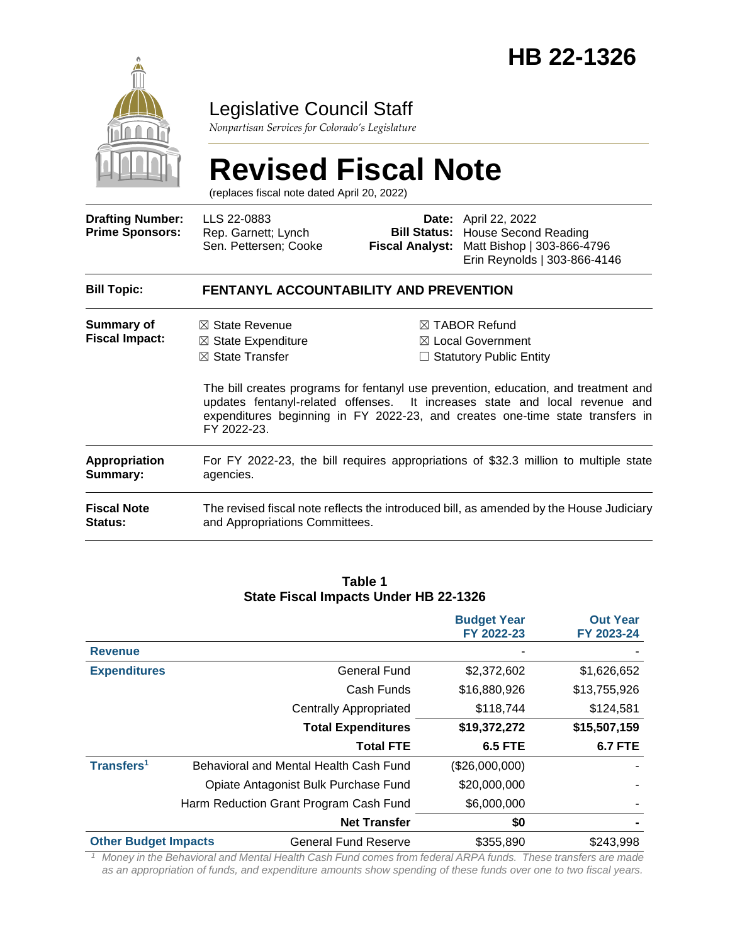

### Legislative Council Staff

*Nonpartisan Services for Colorado's Legislature*

# **Revised Fiscal Note**

(replaces fiscal note dated April 20, 2022)

| <b>Drafting Number:</b><br><b>Prime Sponsors:</b> | LLS 22-0883<br>Rep. Garnett; Lynch<br>Sen. Pettersen; Cooke                                             | <b>Fiscal Analyst:</b> | <b>Date:</b> April 22, 2022<br><b>Bill Status: House Second Reading</b><br>Matt Bishop   303-866-4796<br>Erin Reynolds   303-866-4146                                                                                                                                                                                                             |
|---------------------------------------------------|---------------------------------------------------------------------------------------------------------|------------------------|---------------------------------------------------------------------------------------------------------------------------------------------------------------------------------------------------------------------------------------------------------------------------------------------------------------------------------------------------|
| <b>Bill Topic:</b>                                | <b>FENTANYL ACCOUNTABILITY AND PREVENTION</b>                                                           |                        |                                                                                                                                                                                                                                                                                                                                                   |
| Summary of<br><b>Fiscal Impact:</b>               | $\boxtimes$ State Revenue<br>$\boxtimes$ State Expenditure<br>$\boxtimes$ State Transfer<br>FY 2022-23. |                        | $\boxtimes$ TABOR Refund<br>$\boxtimes$ Local Government<br>$\Box$ Statutory Public Entity<br>The bill creates programs for fentanyl use prevention, education, and treatment and<br>updates fentanyl-related offenses. It increases state and local revenue and<br>expenditures beginning in FY 2022-23, and creates one-time state transfers in |
| Appropriation<br>Summary:                         | For FY 2022-23, the bill requires appropriations of \$32.3 million to multiple state<br>agencies.       |                        |                                                                                                                                                                                                                                                                                                                                                   |
| <b>Fiscal Note</b><br><b>Status:</b>              | and Appropriations Committees.                                                                          |                        | The revised fiscal note reflects the introduced bill, as amended by the House Judiciary                                                                                                                                                                                                                                                           |

#### **Table 1 State Fiscal Impacts Under HB 22-1326**

|                             |                                        | <b>Budget Year</b><br>FY 2022-23 | <b>Out Year</b><br>FY 2023-24 |
|-----------------------------|----------------------------------------|----------------------------------|-------------------------------|
| <b>Revenue</b>              |                                        |                                  |                               |
| <b>Expenditures</b>         | <b>General Fund</b>                    | \$2,372,602                      | \$1,626,652                   |
|                             | Cash Funds                             | \$16,880,926                     | \$13,755,926                  |
|                             | <b>Centrally Appropriated</b>          | \$118,744                        | \$124,581                     |
|                             | <b>Total Expenditures</b>              | \$19,372,272                     | \$15,507,159                  |
|                             | <b>Total FTE</b>                       | <b>6.5 FTE</b>                   | <b>6.7 FTE</b>                |
| Transfers <sup>1</sup>      | Behavioral and Mental Health Cash Fund | (\$26,000,000)                   |                               |
|                             | Opiate Antagonist Bulk Purchase Fund   | \$20,000,000                     |                               |
|                             | Harm Reduction Grant Program Cash Fund | \$6,000,000                      |                               |
|                             | <b>Net Transfer</b>                    | \$0                              |                               |
| <b>Other Budget Impacts</b> | <b>General Fund Reserve</b>            | \$355,890                        | \$243,998                     |

*<sup>1</sup> Money in the Behavioral and Mental Health Cash Fund comes from federal ARPA funds. These transfers are made as an appropriation of funds, and expenditure amounts show spending of these funds over one to two fiscal years.*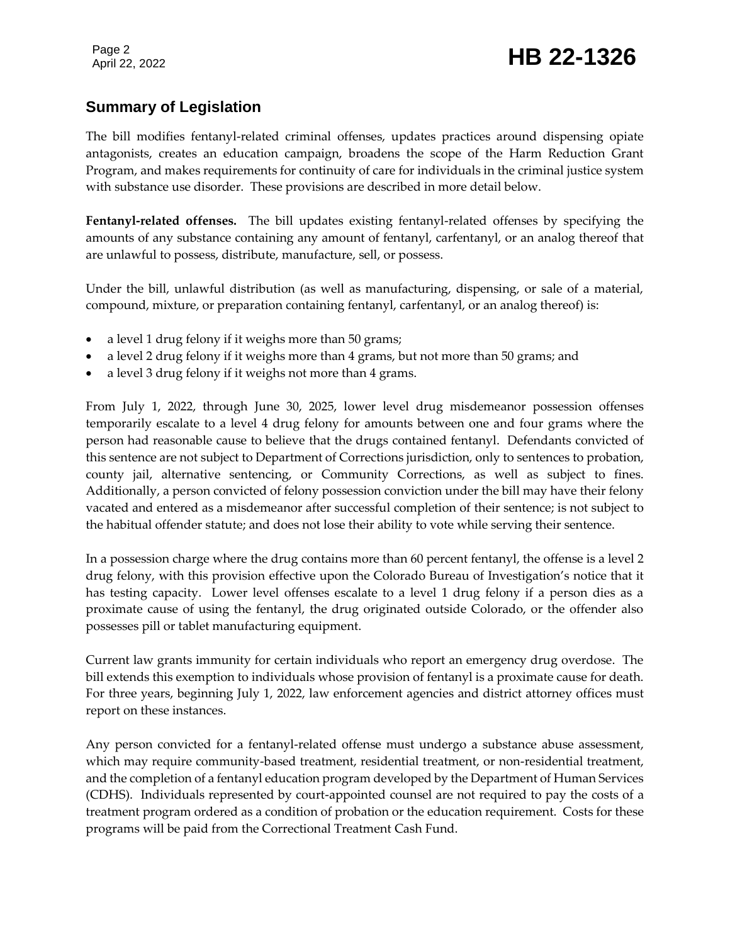#### **Summary of Legislation**

The bill modifies fentanyl-related criminal offenses, updates practices around dispensing opiate antagonists, creates an education campaign, broadens the scope of the Harm Reduction Grant Program, and makes requirements for continuity of care for individuals in the criminal justice system with substance use disorder. These provisions are described in more detail below.

**Fentanyl-related offenses.** The bill updates existing fentanyl-related offenses by specifying the amounts of any substance containing any amount of fentanyl, carfentanyl, or an analog thereof that are unlawful to possess, distribute, manufacture, sell, or possess.

Under the bill, unlawful distribution (as well as manufacturing, dispensing, or sale of a material, compound, mixture, or preparation containing fentanyl, carfentanyl, or an analog thereof) is:

- a level 1 drug felony if it weighs more than 50 grams;
- a level 2 drug felony if it weighs more than 4 grams, but not more than 50 grams; and
- a level 3 drug felony if it weighs not more than 4 grams.

From July 1, 2022, through June 30, 2025, lower level drug misdemeanor possession offenses temporarily escalate to a level 4 drug felony for amounts between one and four grams where the person had reasonable cause to believe that the drugs contained fentanyl. Defendants convicted of this sentence are not subject to Department of Corrections jurisdiction, only to sentences to probation, county jail, alternative sentencing, or Community Corrections, as well as subject to fines. Additionally, a person convicted of felony possession conviction under the bill may have their felony vacated and entered as a misdemeanor after successful completion of their sentence; is not subject to the habitual offender statute; and does not lose their ability to vote while serving their sentence.

In a possession charge where the drug contains more than 60 percent fentanyl, the offense is a level 2 drug felony, with this provision effective upon the Colorado Bureau of Investigation's notice that it has testing capacity. Lower level offenses escalate to a level 1 drug felony if a person dies as a proximate cause of using the fentanyl, the drug originated outside Colorado, or the offender also possesses pill or tablet manufacturing equipment.

Current law grants immunity for certain individuals who report an emergency drug overdose. The bill extends this exemption to individuals whose provision of fentanyl is a proximate cause for death. For three years, beginning July 1, 2022, law enforcement agencies and district attorney offices must report on these instances.

Any person convicted for a fentanyl-related offense must undergo a substance abuse assessment, which may require community-based treatment, residential treatment, or non-residential treatment, and the completion of a fentanyl education program developed by the Department of Human Services (CDHS). Individuals represented by court-appointed counsel are not required to pay the costs of a treatment program ordered as a condition of probation or the education requirement. Costs for these programs will be paid from the Correctional Treatment Cash Fund.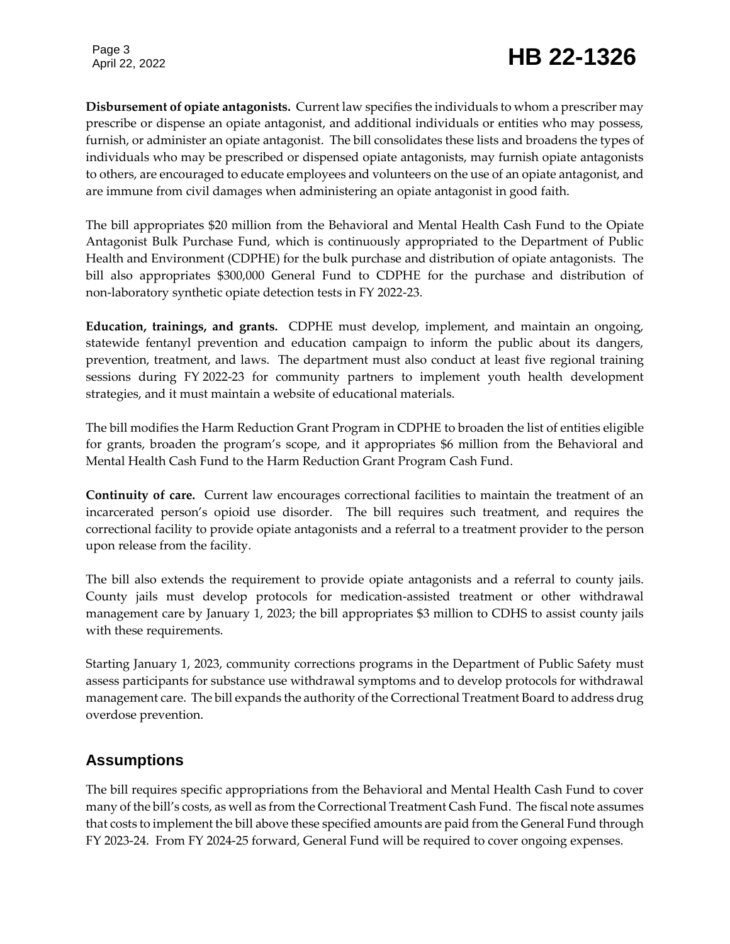## Page 3<br>April 22, 2022 **HB 22-1326**

**Disbursement of opiate antagonists.** Current law specifies the individuals to whom a prescriber may prescribe or dispense an opiate antagonist, and additional individuals or entities who may possess, furnish, or administer an opiate antagonist. The bill consolidates these lists and broadens the types of individuals who may be prescribed or dispensed opiate antagonists, may furnish opiate antagonists to others, are encouraged to educate employees and volunteers on the use of an opiate antagonist, and are immune from civil damages when administering an opiate antagonist in good faith.

The bill appropriates \$20 million from the Behavioral and Mental Health Cash Fund to the Opiate Antagonist Bulk Purchase Fund, which is continuously appropriated to the Department of Public Health and Environment (CDPHE) for the bulk purchase and distribution of opiate antagonists. The bill also appropriates \$300,000 General Fund to CDPHE for the purchase and distribution of non-laboratory synthetic opiate detection tests in FY 2022-23.

**Education, trainings, and grants.** CDPHE must develop, implement, and maintain an ongoing, statewide fentanyl prevention and education campaign to inform the public about its dangers, prevention, treatment, and laws. The department must also conduct at least five regional training sessions during FY 2022-23 for community partners to implement youth health development strategies, and it must maintain a website of educational materials.

The bill modifies the Harm Reduction Grant Program in CDPHE to broaden the list of entities eligible for grants, broaden the program's scope, and it appropriates \$6 million from the Behavioral and Mental Health Cash Fund to the Harm Reduction Grant Program Cash Fund.

**Continuity of care.** Current law encourages correctional facilities to maintain the treatment of an incarcerated person's opioid use disorder. The bill requires such treatment, and requires the correctional facility to provide opiate antagonists and a referral to a treatment provider to the person upon release from the facility.

The bill also extends the requirement to provide opiate antagonists and a referral to county jails. County jails must develop protocols for medication-assisted treatment or other withdrawal management care by January 1, 2023; the bill appropriates \$3 million to CDHS to assist county jails with these requirements.

Starting January 1, 2023, community corrections programs in the Department of Public Safety must assess participants for substance use withdrawal symptoms and to develop protocols for withdrawal management care. The bill expands the authority of the Correctional Treatment Board to address drug overdose prevention.

#### **Assumptions**

The bill requires specific appropriations from the Behavioral and Mental Health Cash Fund to cover many of the bill's costs, as well as from the Correctional Treatment Cash Fund. The fiscal note assumes that costs to implement the bill above these specified amounts are paid from the General Fund through FY 2023-24. From FY 2024-25 forward, General Fund will be required to cover ongoing expenses.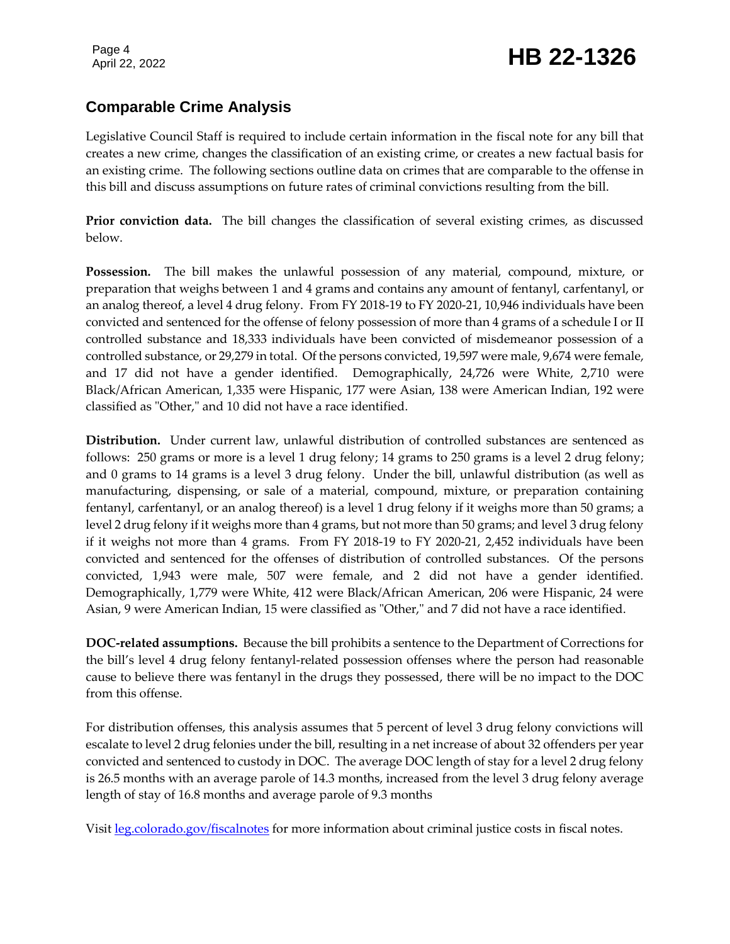#### **Comparable Crime Analysis**

Legislative Council Staff is required to include certain information in the fiscal note for any bill that creates a new crime, changes the classification of an existing crime, or creates a new factual basis for an existing crime. The following sections outline data on crimes that are comparable to the offense in this bill and discuss assumptions on future rates of criminal convictions resulting from the bill.

**Prior conviction data.** The bill changes the classification of several existing crimes, as discussed below.

**Possession.** The bill makes the unlawful possession of any material, compound, mixture, or preparation that weighs between 1 and 4 grams and contains any amount of fentanyl, carfentanyl, or an analog thereof, a level 4 drug felony. From FY 2018-19 to FY 2020-21, 10,946 individuals have been convicted and sentenced for the offense of felony possession of more than 4 grams of a schedule I or II controlled substance and 18,333 individuals have been convicted of misdemeanor possession of a controlled substance, or 29,279 in total. Of the persons convicted, 19,597 were male, 9,674 were female, and 17 did not have a gender identified. Demographically, 24,726 were White, 2,710 were Black/African American, 1,335 were Hispanic, 177 were Asian, 138 were American Indian, 192 were classified as "Other," and 10 did not have a race identified.

**Distribution.** Under current law, unlawful distribution of controlled substances are sentenced as follows: 250 grams or more is a level 1 drug felony; 14 grams to 250 grams is a level 2 drug felony; and 0 grams to 14 grams is a level 3 drug felony. Under the bill, unlawful distribution (as well as manufacturing, dispensing, or sale of a material, compound, mixture, or preparation containing fentanyl, carfentanyl, or an analog thereof) is a level 1 drug felony if it weighs more than 50 grams; a level 2 drug felony if it weighs more than 4 grams, but not more than 50 grams; and level 3 drug felony if it weighs not more than 4 grams. From FY 2018-19 to FY 2020-21, 2,452 individuals have been convicted and sentenced for the offenses of distribution of controlled substances. Of the persons convicted, 1,943 were male, 507 were female, and 2 did not have a gender identified. Demographically, 1,779 were White, 412 were Black/African American, 206 were Hispanic, 24 were Asian, 9 were American Indian, 15 were classified as "Other," and 7 did not have a race identified.

**DOC-related assumptions.** Because the bill prohibits a sentence to the Department of Corrections for the bill's level 4 drug felony fentanyl-related possession offenses where the person had reasonable cause to believe there was fentanyl in the drugs they possessed, there will be no impact to the DOC from this offense.

For distribution offenses, this analysis assumes that 5 percent of level 3 drug felony convictions will escalate to level 2 drug felonies under the bill, resulting in a net increase of about 32 offenders per year convicted and sentenced to custody in DOC. The average DOC length of stay for a level 2 drug felony is 26.5 months with an average parole of 14.3 months, increased from the level 3 drug felony average length of stay of 16.8 months and average parole of 9.3 months

Visit [leg.colorado.gov/fiscalnotes](http://leg.colorado.gov/fiscalnotes/) for more information about criminal justice costs in fiscal notes.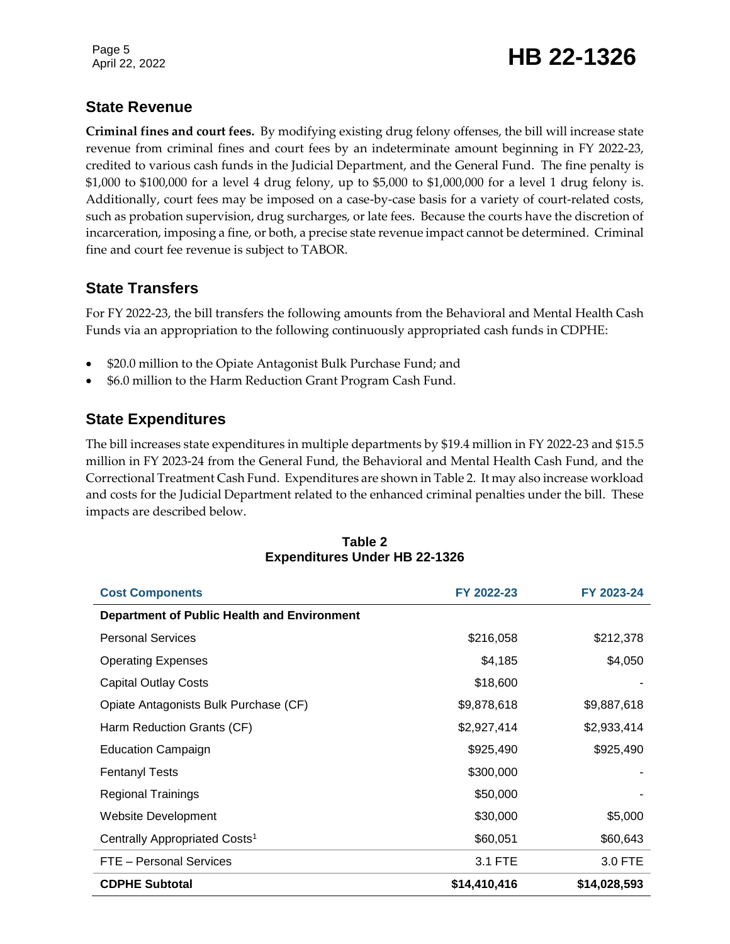Page 5

### Page 5<br>April 22, 2022 **HB 22-1326**

#### **State Revenue**

**Criminal fines and court fees.** By modifying existing drug felony offenses, the bill will increase state revenue from criminal fines and court fees by an indeterminate amount beginning in FY 2022-23, credited to various cash funds in the Judicial Department, and the General Fund. The fine penalty is \$1,000 to \$100,000 for a level 4 drug felony, up to \$5,000 to \$1,000,000 for a level 1 drug felony is. Additionally, court fees may be imposed on a case-by-case basis for a variety of court-related costs, such as probation supervision, drug surcharges, or late fees. Because the courts have the discretion of incarceration, imposing a fine, or both, a precise state revenue impact cannot be determined. Criminal fine and court fee revenue is subject to TABOR.

#### **State Transfers**

For FY 2022-23, the bill transfers the following amounts from the Behavioral and Mental Health Cash Funds via an appropriation to the following continuously appropriated cash funds in CDPHE:

- \$20.0 million to the Opiate Antagonist Bulk Purchase Fund; and
- \$6.0 million to the Harm Reduction Grant Program Cash Fund.

#### **State Expenditures**

The bill increases state expenditures in multiple departments by \$19.4 million in FY 2022-23 and \$15.5 million in FY 2023-24 from the General Fund, the Behavioral and Mental Health Cash Fund, and the Correctional Treatment Cash Fund. Expenditures are shown in Table 2. It may also increase workload and costs for the Judicial Department related to the enhanced criminal penalties under the bill. These impacts are described below.

| <b>Cost Components</b>                             | FY 2022-23   | FY 2023-24   |
|----------------------------------------------------|--------------|--------------|
| <b>Department of Public Health and Environment</b> |              |              |
| <b>Personal Services</b>                           | \$216,058    | \$212,378    |
| <b>Operating Expenses</b>                          | \$4,185      | \$4,050      |
| <b>Capital Outlay Costs</b>                        | \$18,600     |              |
| Opiate Antagonists Bulk Purchase (CF)              | \$9,878,618  | \$9,887,618  |
| Harm Reduction Grants (CF)                         | \$2,927,414  | \$2,933,414  |
| <b>Education Campaign</b>                          | \$925,490    | \$925,490    |
| <b>Fentanyl Tests</b>                              | \$300,000    |              |
| <b>Regional Trainings</b>                          | \$50,000     |              |
| Website Development                                | \$30,000     | \$5,000      |
| Centrally Appropriated Costs <sup>1</sup>          | \$60,051     | \$60,643     |
| FTE - Personal Services                            | 3.1 FTE      | 3.0 FTE      |
| <b>CDPHE Subtotal</b>                              | \$14,410,416 | \$14,028,593 |

#### **Table 2 Expenditures Under HB 22-1326**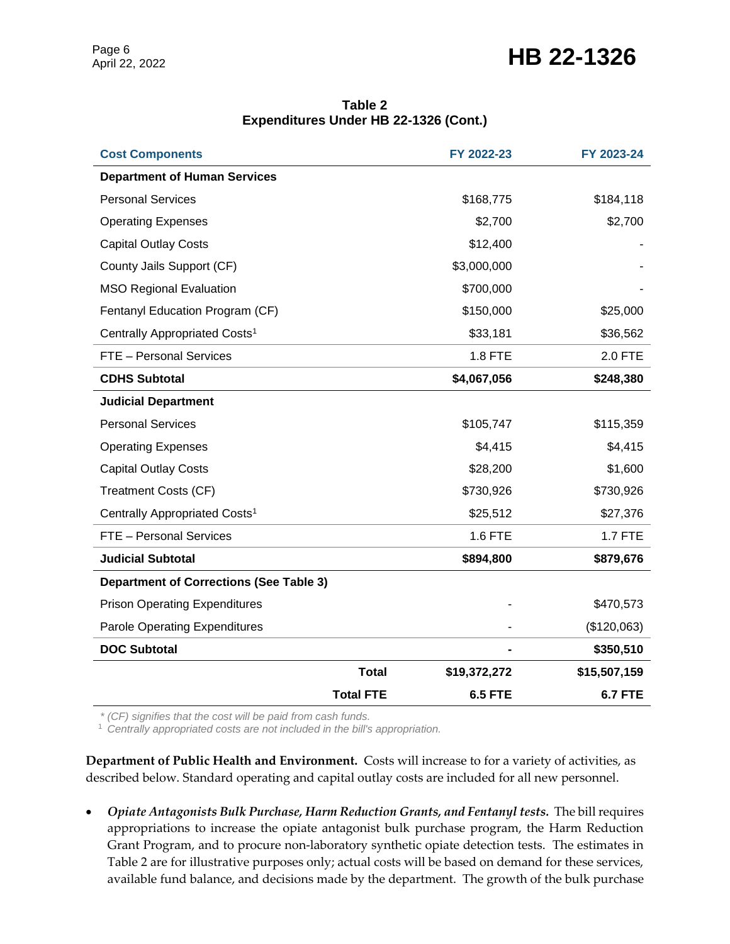### Page 6<br>April 22, 2022 **HB 22-1326**

| Table 2                               |  |
|---------------------------------------|--|
| Expenditures Under HB 22-1326 (Cont.) |  |

| <b>Cost Components</b>                         |                  | FY 2022-23     | FY 2023-24     |
|------------------------------------------------|------------------|----------------|----------------|
| <b>Department of Human Services</b>            |                  |                |                |
| <b>Personal Services</b>                       |                  | \$168,775      | \$184,118      |
| <b>Operating Expenses</b>                      |                  | \$2,700        | \$2,700        |
| <b>Capital Outlay Costs</b>                    |                  | \$12,400       |                |
| County Jails Support (CF)                      |                  | \$3,000,000    |                |
| <b>MSO Regional Evaluation</b>                 |                  | \$700,000      |                |
| Fentanyl Education Program (CF)                |                  | \$150,000      | \$25,000       |
| Centrally Appropriated Costs <sup>1</sup>      |                  | \$33,181       | \$36,562       |
| FTE - Personal Services                        |                  | 1.8 FTE        | 2.0 FTE        |
| <b>CDHS Subtotal</b>                           |                  | \$4,067,056    | \$248,380      |
| <b>Judicial Department</b>                     |                  |                |                |
| <b>Personal Services</b>                       |                  | \$105,747      | \$115,359      |
| <b>Operating Expenses</b>                      |                  | \$4,415        | \$4,415        |
| <b>Capital Outlay Costs</b>                    |                  | \$28,200       | \$1,600        |
| <b>Treatment Costs (CF)</b>                    |                  | \$730,926      | \$730,926      |
| Centrally Appropriated Costs <sup>1</sup>      |                  | \$25,512       | \$27,376       |
| FTE - Personal Services                        |                  | 1.6 FTE        | <b>1.7 FTE</b> |
| <b>Judicial Subtotal</b>                       |                  | \$894,800      | \$879,676      |
| <b>Department of Corrections (See Table 3)</b> |                  |                |                |
| <b>Prison Operating Expenditures</b>           |                  |                | \$470,573      |
| <b>Parole Operating Expenditures</b>           |                  |                | (\$120,063)    |
| <b>DOC Subtotal</b>                            |                  |                | \$350,510      |
|                                                | <b>Total</b>     | \$19,372,272   | \$15,507,159   |
|                                                | <b>Total FTE</b> | <b>6.5 FTE</b> | <b>6.7 FTE</b> |

*\* (CF) signifies that the cost will be paid from cash funds.*

<sup>1</sup> *Centrally appropriated costs are not included in the bill's appropriation.*

**Department of Public Health and Environment.** Costs will increase to for a variety of activities, as described below. Standard operating and capital outlay costs are included for all new personnel.

 *Opiate Antagonists Bulk Purchase, Harm Reduction Grants, and Fentanyl tests.* The bill requires appropriations to increase the opiate antagonist bulk purchase program, the Harm Reduction Grant Program, and to procure non-laboratory synthetic opiate detection tests. The estimates in Table 2 are for illustrative purposes only; actual costs will be based on demand for these services, available fund balance, and decisions made by the department. The growth of the bulk purchase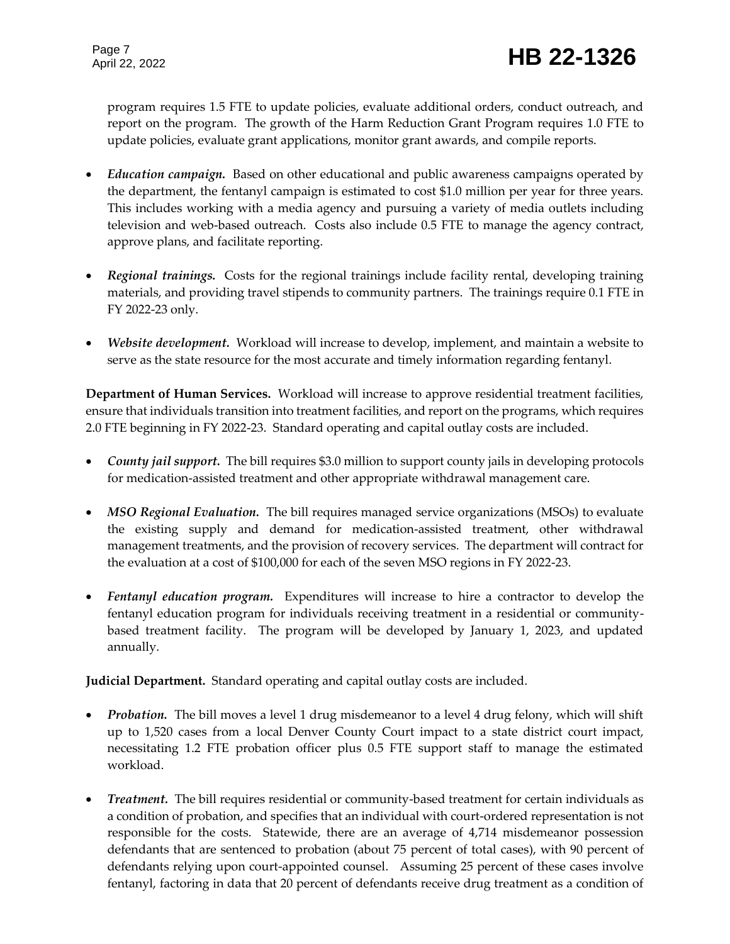program requires 1.5 FTE to update policies, evaluate additional orders, conduct outreach, and report on the program. The growth of the Harm Reduction Grant Program requires 1.0 FTE to update policies, evaluate grant applications, monitor grant awards, and compile reports.

- *Education campaign.* Based on other educational and public awareness campaigns operated by the department, the fentanyl campaign is estimated to cost \$1.0 million per year for three years. This includes working with a media agency and pursuing a variety of media outlets including television and web-based outreach. Costs also include 0.5 FTE to manage the agency contract, approve plans, and facilitate reporting.
- *Regional trainings.* Costs for the regional trainings include facility rental, developing training materials, and providing travel stipends to community partners. The trainings require 0.1 FTE in FY 2022-23 only.
- *Website development.* Workload will increase to develop, implement, and maintain a website to serve as the state resource for the most accurate and timely information regarding fentanyl.

**Department of Human Services.** Workload will increase to approve residential treatment facilities, ensure that individuals transition into treatment facilities, and report on the programs, which requires 2.0 FTE beginning in FY 2022-23. Standard operating and capital outlay costs are included.

- *County jail support.* The bill requires \$3.0 million to support county jails in developing protocols for medication-assisted treatment and other appropriate withdrawal management care.
- MSO Regional Evaluation. The bill requires managed service organizations (MSOs) to evaluate the existing supply and demand for medication-assisted treatment, other withdrawal management treatments, and the provision of recovery services. The department will contract for the evaluation at a cost of \$100,000 for each of the seven MSO regions in FY 2022-23.
- *Fentanyl education program.* Expenditures will increase to hire a contractor to develop the fentanyl education program for individuals receiving treatment in a residential or communitybased treatment facility. The program will be developed by January 1, 2023, and updated annually.

**Judicial Department.** Standard operating and capital outlay costs are included.

- *Probation.* The bill moves a level 1 drug misdemeanor to a level 4 drug felony, which will shift up to 1,520 cases from a local Denver County Court impact to a state district court impact, necessitating 1.2 FTE probation officer plus 0.5 FTE support staff to manage the estimated workload.
- Treatment. The bill requires residential or community-based treatment for certain individuals as a condition of probation, and specifies that an individual with court-ordered representation is not responsible for the costs. Statewide, there are an average of 4,714 misdemeanor possession defendants that are sentenced to probation (about 75 percent of total cases), with 90 percent of defendants relying upon court-appointed counsel. Assuming 25 percent of these cases involve fentanyl, factoring in data that 20 percent of defendants receive drug treatment as a condition of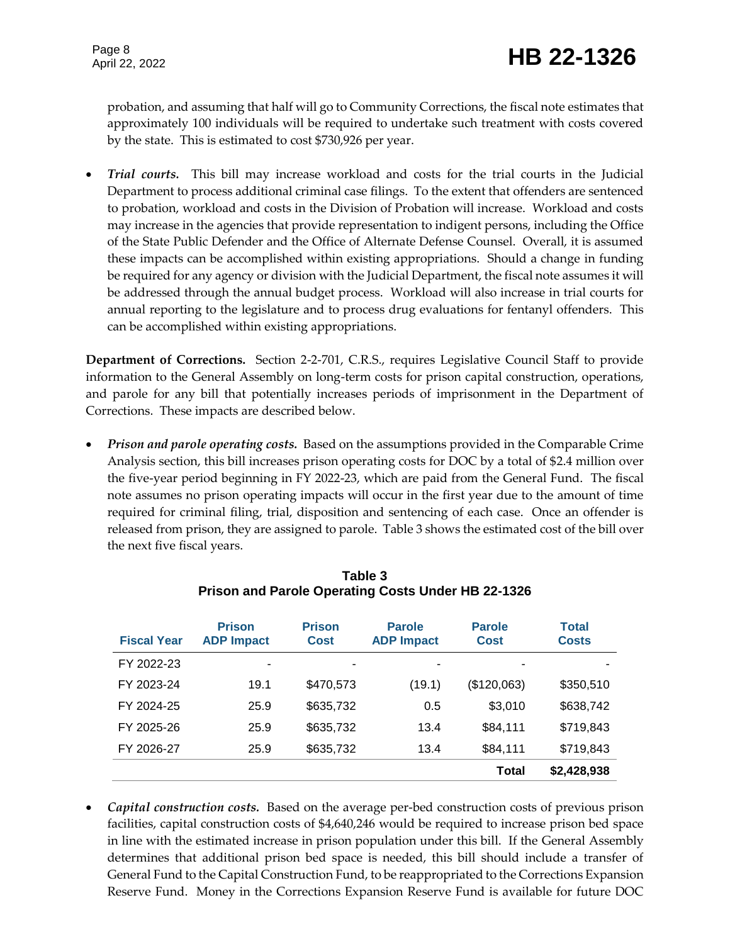probation, and assuming that half will go to Community Corrections, the fiscal note estimates that approximately 100 individuals will be required to undertake such treatment with costs covered by the state. This is estimated to cost \$730,926 per year.

 *Trial courts.* This bill may increase workload and costs for the trial courts in the Judicial Department to process additional criminal case filings. To the extent that offenders are sentenced to probation, workload and costs in the Division of Probation will increase. Workload and costs may increase in the agencies that provide representation to indigent persons, including the Office of the State Public Defender and the Office of Alternate Defense Counsel. Overall, it is assumed these impacts can be accomplished within existing appropriations. Should a change in funding be required for any agency or division with the Judicial Department, the fiscal note assumes it will be addressed through the annual budget process. Workload will also increase in trial courts for annual reporting to the legislature and to process drug evaluations for fentanyl offenders. This can be accomplished within existing appropriations.

**Department of Corrections.** Section 2-2-701, C.R.S., requires Legislative Council Staff to provide information to the General Assembly on long-term costs for prison capital construction, operations, and parole for any bill that potentially increases periods of imprisonment in the Department of Corrections. These impacts are described below.

 *Prison and parole operating costs.* Based on the assumptions provided in the Comparable Crime Analysis section, this bill increases prison operating costs for DOC by a total of \$2.4 million over the five-year period beginning in FY 2022-23, which are paid from the General Fund. The fiscal note assumes no prison operating impacts will occur in the first year due to the amount of time required for criminal filing, trial, disposition and sentencing of each case. Once an offender is released from prison, they are assigned to parole. Table 3 shows the estimated cost of the bill over the next five fiscal years.

| <b>Fiscal Year</b> | <b>Prison</b><br><b>ADP Impact</b> | <b>Prison</b><br><b>Cost</b> | <b>Parole</b><br><b>ADP Impact</b> | <b>Parole</b><br><b>Cost</b> | Total<br><b>Costs</b> |
|--------------------|------------------------------------|------------------------------|------------------------------------|------------------------------|-----------------------|
| FY 2022-23         | ۰                                  | ۰                            |                                    |                              |                       |
| FY 2023-24         | 19.1                               | \$470,573                    | (19.1)                             | (\$120,063)                  | \$350,510             |
| FY 2024-25         | 25.9                               | \$635,732                    | 0.5                                | \$3,010                      | \$638,742             |
| FY 2025-26         | 25.9                               | \$635,732                    | 13.4                               | \$84,111                     | \$719,843             |
| FY 2026-27         | 25.9                               | \$635,732                    | 13.4                               | \$84,111                     | \$719,843             |
|                    |                                    |                              |                                    | Total                        | \$2,428,938           |

**Table 3 Prison and Parole Operating Costs Under HB 22-1326**

 *Capital construction costs.*Based on the average per-bed construction costs of previous prison facilities, capital construction costs of \$4,640,246 would be required to increase prison bed space in line with the estimated increase in prison population under this bill. If the General Assembly determines that additional prison bed space is needed, this bill should include a transfer of General Fund to the Capital Construction Fund, to be reappropriated to the Corrections Expansion Reserve Fund. Money in the Corrections Expansion Reserve Fund is available for future DOC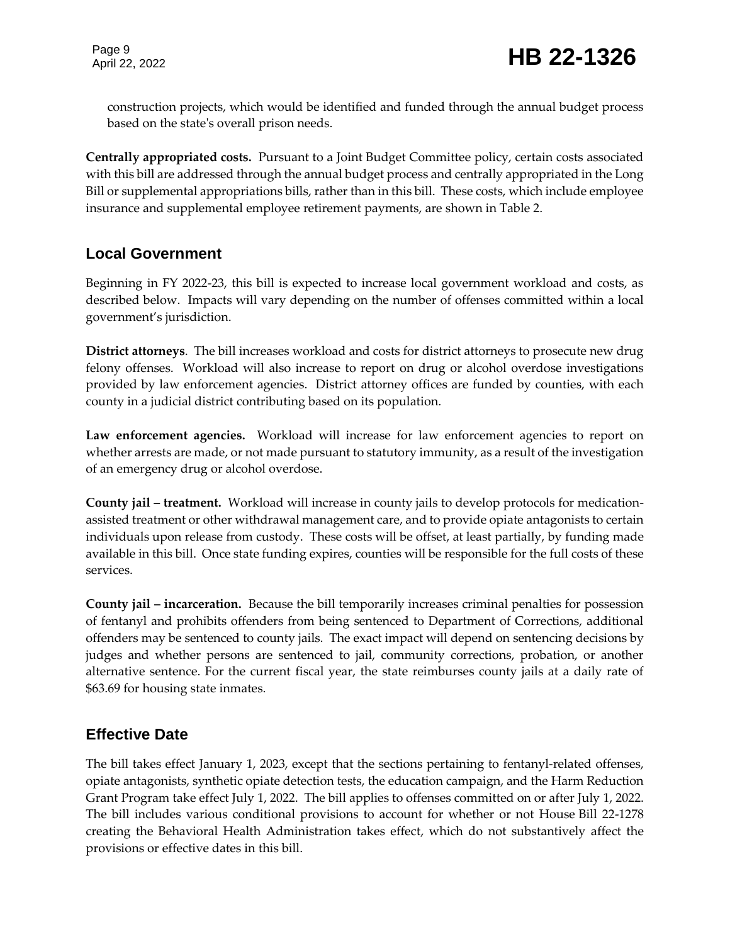construction projects, which would be identified and funded through the annual budget process based on the state's overall prison needs.

**Centrally appropriated costs.** Pursuant to a Joint Budget Committee policy, certain costs associated with this bill are addressed through the annual budget process and centrally appropriated in the Long Bill or supplemental appropriations bills, rather than in this bill. These costs, which include employee insurance and supplemental employee retirement payments, are shown in Table 2.

#### **Local Government**

Beginning in FY 2022-23, this bill is expected to increase local government workload and costs, as described below. Impacts will vary depending on the number of offenses committed within a local government's jurisdiction.

**District attorneys**. The bill increases workload and costs for district attorneys to prosecute new drug felony offenses. Workload will also increase to report on drug or alcohol overdose investigations provided by law enforcement agencies. District attorney offices are funded by counties, with each county in a judicial district contributing based on its population.

**Law enforcement agencies.** Workload will increase for law enforcement agencies to report on whether arrests are made, or not made pursuant to statutory immunity, as a result of the investigation of an emergency drug or alcohol overdose.

**County jail – treatment.** Workload will increase in county jails to develop protocols for medicationassisted treatment or other withdrawal management care, and to provide opiate antagonists to certain individuals upon release from custody. These costs will be offset, at least partially, by funding made available in this bill. Once state funding expires, counties will be responsible for the full costs of these services.

**County jail – incarceration.** Because the bill temporarily increases criminal penalties for possession of fentanyl and prohibits offenders from being sentenced to Department of Corrections, additional offenders may be sentenced to county jails. The exact impact will depend on sentencing decisions by judges and whether persons are sentenced to jail, community corrections, probation, or another alternative sentence. For the current fiscal year, the state reimburses county jails at a daily rate of \$63.69 for housing state inmates.

#### **Effective Date**

The bill takes effect January 1, 2023, except that the sections pertaining to fentanyl-related offenses, opiate antagonists, synthetic opiate detection tests, the education campaign, and the Harm Reduction Grant Program take effect July 1, 2022. The bill applies to offenses committed on or after July 1, 2022. The bill includes various conditional provisions to account for whether or not House Bill 22-1278 creating the Behavioral Health Administration takes effect, which do not substantively affect the provisions or effective dates in this bill.